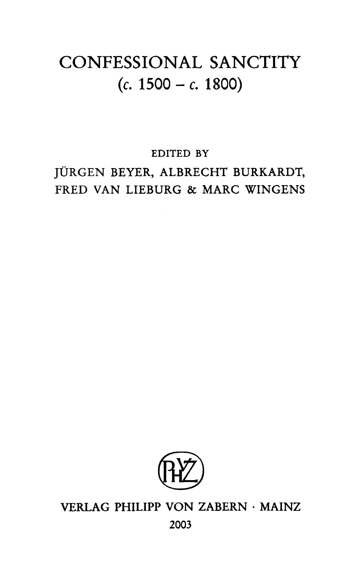## CONFESSIONAL SANCTITY  $(c. 1500 - c. 1800)$

**EDITED BY**

**JÜRGEN BEYER, ALBRECHT BURKARDT, FRED VAN LIEBURG & MARC WINGENS**



## **VERLAG PHILIPP VON ZABERN · MAINZ 2003**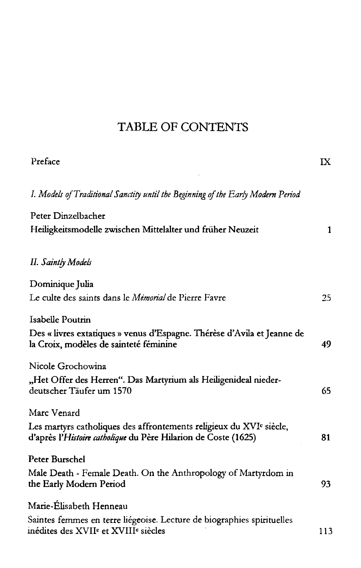## TABLE OF CONTENTS

| Preface                                                                                                                                           | IX  |
|---------------------------------------------------------------------------------------------------------------------------------------------------|-----|
| I. Models of Traditional Sanctity until the Beginning of the Early Modern Period                                                                  |     |
| Peter Dinzelbacher                                                                                                                                |     |
| Heiligkeitsmodelle zwischen Mittelalter und früher Neuzeit                                                                                        | 1   |
| <b>II.</b> Saintly Models                                                                                                                         |     |
| Dominique Julia                                                                                                                                   |     |
| Le culte des saints dans le Mémorial de Pierre Favre                                                                                              | 25  |
| Isabelle Poutrin                                                                                                                                  |     |
| Des « livres extatiques » venus d'Espagne. Thérèse d'Avila et Jeanne de<br>la Croix, modèles de sainteté féminine                                 | 49  |
| Nicole Grochowina                                                                                                                                 |     |
| "Het Offer des Herren". Das Martyrium als Heiligenideal nieder-<br>deutscher Täufer um 1570                                                       | 65  |
| Marc Venard                                                                                                                                       |     |
| Les martyrs catholiques des affrontements religieux du XVI <sup>c</sup> siècle,<br>d'après l'Histoire catholique du Père Hilarion de Coste (1625) | 81  |
| Peter Burschel                                                                                                                                    |     |
| Male Death - Female Death. On the Anthropology of Martyrdom in<br>the Early Modern Period                                                         | 93  |
| Marie-Élisabeth Henneau                                                                                                                           |     |
| Saintes femmes en terre liégeoise. Lecture de biographies spirituelles<br>inédites des XVII <sup>e</sup> et XVIII <sup>e</sup> siècles            | 113 |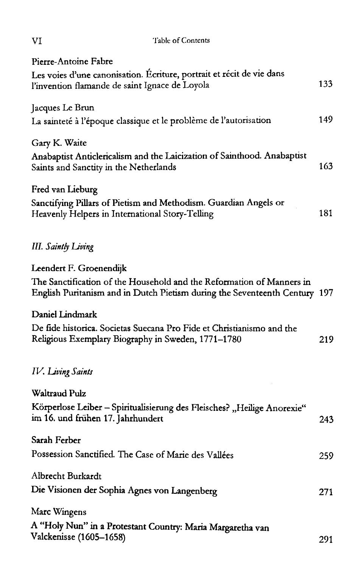| Table of Contents<br>VI                                                                                                                         |      |
|-------------------------------------------------------------------------------------------------------------------------------------------------|------|
| Pierre-Antoine Fabre<br>Les voies d'une canonisation. Ecriture, portrait et récit de vie dans<br>l'invention flamande de saint Ignace de Loyola | 133  |
| Jacques Le Brun<br>La sainteté à l'époque classique et le problème de l'autorisation                                                            | 149  |
| Gary K. Waite<br>Anabaptist Anticlericalism and the Laicization of Sainthood. Anabaptist<br>Saints and Sanctity in the Netherlands              | 163  |
| Fred van Lieburg<br>Sanctifying Pillars of Pietism and Methodism. Guardian Angels or<br>Heavenly Helpers in International Story-Telling         | 181  |
| <b>III.</b> Saintly Living                                                                                                                      |      |
| Leendert F. Groenendijk<br>The Sanctification of the Household and the Reformation of Manners in                                                |      |
| English Puritanism and in Dutch Pietism during the Seventeenth Century 197<br>Daniel Lindmark                                                   |      |
| De fide historica. Societas Suecana Pro Fide et Christianismo and the<br>Religious Exemplary Biography in Sweden, 1771–1780                     | 219  |
| IV. Living Saints                                                                                                                               |      |
| <b>Waltraud Pulz</b>                                                                                                                            |      |
| Körperlose Leiber - Spiritualisierung des Fleisches? "Heilige Anorexie"<br>im 16. und frühen 17. Jahrhundert                                    | 243. |
| Sarah Ferber                                                                                                                                    |      |
| Possession Sanctified. The Case of Marie des Vallées                                                                                            | 259  |
| Albrecht Burkardt<br>Die Visionen der Sophia Agnes von Langenberg                                                                               |      |
|                                                                                                                                                 | 271  |
| Marc Wingens<br>A "Holy Nun" in a Protestant Country: Maria Margaretha van<br>Valckenisse (1605-1658)                                           | 291  |